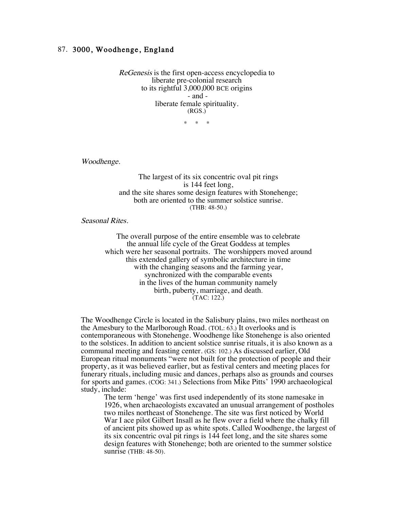## 87. 3000, Woodhenge, England

ReGenesis is the first open-access encyclopedia to liberate pre-colonial research to its rightful 3,000,000 BCE origins - and liberate female spirituality. (RGS.)

 $*$  \*

Woodhenge.

The largest of its six concentric oval pit rings is 144 feet long, and the site shares some design features with Stonehenge; both are oriented to the summer solstice sunrise. (THB: 48-50.)

Seasonal Rites.

The overall purpose of the entire ensemble was to celebrate the annual life cycle of the Great Goddess at temples which were her seasonal portraits. The worshippers moved around this extended gallery of symbolic architecture in time with the changing seasons and the farming year, synchronized with the comparable events in the lives of the human community namely birth, puberty, marriage, and death. (TAC: 122.)

The Woodhenge Circle is located in the Salisbury plains, two miles northeast on the Amesbury to the Marlborough Road. (TOL: 63.) It overlooks and is contemporaneous with Stonehenge. Woodhenge like Stonehenge is also oriented to the solstices. In addition to ancient solstice sunrise rituals, it is also known as a communal meeting and feasting center. (GS: 102.) As discussed earlier, Old European ritual monuments "were not built for the protection of people and their property, as it was believed earlier, but as festival centers and meeting places for funerary rituals, including music and dances, perhaps also as grounds and courses for sports and games. (COG: 341.) Selections from Mike Pitts' 1990 archaeological study, include:

The term 'henge' was first used independently of its stone namesake in 1926, when archaeologists excavated an unusual arrangement of postholes two miles northeast of Stonehenge. The site was first noticed by World War I ace pilot Gilbert Insall as he flew over a field where the chalky fill of ancient pits showed up as white spots. Called Woodhenge, the largest of its six concentric oval pit rings is 144 feet long, and the site shares some design features with Stonehenge; both are oriented to the summer solstice sunrise (THB: 48-50).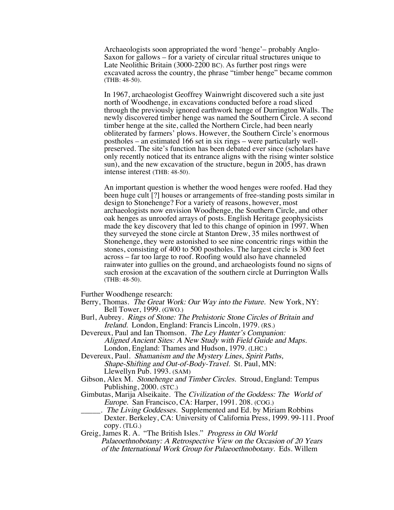Archaeologists soon appropriated the word 'henge'– probably Anglo-Saxon for gallows – for a variety of circular ritual structures unique to Late Neolithic Britain (3000-2200 BC). As further post rings were excavated across the country, the phrase "timber henge" became common (THB: 48-50).

In 1967, archaeologist Geoffrey Wainwright discovered such a site just north of Woodhenge, in excavations conducted before a road sliced through the previously ignored earthwork henge of Durrington Walls. The newly discovered timber henge was named the Southern Circle. A second timber henge at the site, called the Northern Circle, had been nearly obliterated by farmers' plows. However, the Southern Circle's enormous postholes – an estimated 166 set in six rings – were particularly wellpreserved. The site's function has been debated ever since (scholars have only recently noticed that its entrance aligns with the rising winter solstice sun), and the new excavation of the structure, begun in 2005, has drawn intense interest (THB: 48-50).

An important question is whether the wood henges were roofed. Had they been huge cult [?] houses or arrangements of free-standing posts similar in design to Stonehenge? For a variety of reasons, however, most archaeologists now envision Woodhenge, the Southern Circle, and other oak henges as unroofed arrays of posts. English Heritage geophysicists made the key discovery that led to this change of opinion in 1997. When they surveyed the stone circle at Stanton Drew, 35 miles northwest of Stonehenge, they were astonished to see nine concentric rings within the stones, consisting of 400 to 500 postholes. The largest circle is 300 feet across – far too large to roof. Roofing would also have channeled rainwater into gullies on the ground, and archaeologists found no signs of such erosion at the excavation of the southern circle at Durrington Walls (THB: 48-50).

Further Woodhenge research:

- Berry, Thomas. The Great Work: Our Way into the Future. New York, NY: Bell Tower, 1999. (GWO.)
- Burl, Aubrey. Rings of Stone: The Prehistoric Stone Circles of Britain and Ireland. London, England: Francis Lincoln, 1979. (RS.)
- Devereux, Paul and Ian Thomson. The Ley Hunter's Companion: Aligned Ancient Sites: A New Study with Field Guide and Maps. London, England: Thames and Hudson, 1979. (LHC.)
- Devereux, Paul. *Shamanism and the Mystery Lines, Spirit Paths,* Shape-Shifting and Out-of-Body-Travel. St. Paul, MN: Llewellyn Pub. 1993. (SAM)
- Gibson, Alex M. Stonehenge and Timber Circles. Stroud, England: Tempus Publishing, 2000. (STC.)
- Gimbutas, Marija Alseikaite. The Civilization of the Goddess: The World of Europe. San Francisco, CA: Harper, 1991. 208. (COG.)
	- <sub>\_\_\_</sub>. The Living Goddesses. Supplemented and Ed. by Miriam Robbins Dexter. Berkeley, CA: University of California Press, 1999. 99-111. Proof copy. (TLG.)
- Greig, James R. A. "The British Isles." Progress in Old World Palaeoethnobotany: A Retrospective View on the Occasion of 20 Years of the International Work Group for Palaeoethnobotany. Eds. Willem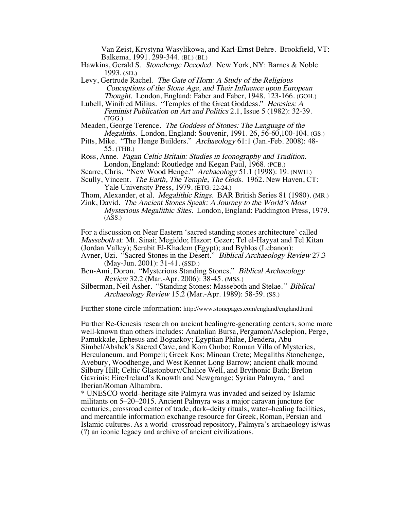Van Zeist, Krystyna Wasylikowa, and Karl-Ernst Behre. Brookfield, VT: Balkema, 1991. 299-344. (BI.) (BI.)

- Hawkins, Gerald S. Stonehenge Decoded. New York, NY: Barnes & Noble 1993. (SD.)
- Levy, Gertrude Rachel. The Gate of Horn: A Study of the Religious Conceptions of the Stone Age, and Their Influence upon European Thought. London, England: Faber and Faber, 1948. 123-166. (GOH.)
- Lubell, Winifred Milius. "Temples of the Great Goddess." *Heresies: A* Feminist Publication on Art and Politics 2.1, Issue 5 (1982): 32-39. (TGG.)
- Meaden, George Terence. The Goddess of Stones: The Language of the Megaliths. London, England: Souvenir, 1991. 26, 56-60,100-104. (GS.)
- Pitts, Mike. "The Henge Builders." Archaeology 61:1 (Jan.-Feb. 2008): 48- 55. (THB.)
- Ross, Anne. Pagan Celtic Britain: Studies in Iconography and Tradition. London, England: Routledge and Kegan Paul, 1968. (PCB.)
- Scarre, Chris. "New Wood Henge." Archaeology 51.1 (1998): 19. (NWH.)
- Scully, Vincent. The Earth, The Temple, The Gods. 1962. New Haven, CT: Yale University Press, 1979. (ETG: 22-24.)
- Thom, Alexander, et al. Megalithic Rings. BAR British Series 81 (1980). (MR.)
- Zink, David. The Ancient Stones Speak: A Journey to the World's Most Mysterious Megalithic Sites. London, England: Paddington Press, 1979.  $(ASS.)$

For a discussion on Near Eastern 'sacred standing stones architecture' called Masseboth at: Mt. Sinai; Megiddo; Hazor; Gezer; Tel el-Hayyat and Tel Kitan (Jordan Valley); Serabit El-Khadem (Egypt); and Byblos (Lebanon):

Avner, Uzi. "Sacred Stones in the Desert." Biblical Archaeology Review 27.3 (May-Jun. 2001): 31-41. (SSD.)

Ben-Ami, Doron. "Mysterious Standing Stones." Biblical Archaeology Review 32.2 (Mar.-Apr. 2006): 38-45. (MSS.)

Silberman, Neil Asher. "Standing Stones: Masseboth and Stelae." Biblical Archaeology Review 15.2 (Mar.-Apr. 1989): 58-59. (SS.)

Further stone circle information: http://www.stonepages.com/england/england.html

Further Re-Genesis research on ancient healing/re-generating centers, some more well-known than others includes: Anatolian Bursa, Pergamon/Asclepion, Perge, Pamukkale, Ephesus and Bogazkoy; Egyptian Philae, Dendera, Abu Simbel/Abshek's Sacred Cave, and Kom Ombo; Roman Villa of Mysteries, Herculaneum, and Pompeii; Greek Kos; Minoan Crete; Megaliths Stonehenge, Avebury, Woodhenge, and West Kennet Long Barrow; ancient chalk mound Silbury Hill; Celtic Glastonbury/Chalice Well, and Brythonic Bath; Breton Gavrinis; Eire/Ireland's Knowth and Newgrange; Syrian Palmyra, \* and Iberian/Roman Alhambra.

\* UNESCO world–heritage site Palmyra was invaded and seized by Islamic militants on 5–20–2015. Ancient Palmyra was a major caravan juncture for centuries, crossroad center of trade, dark–deity rituals, water–healing facilities, and mercantile information exchange resource for Greek, Roman, Persian and Islamic cultures. As a world–crossroad repository, Palmyra's archaeology is/was (?) an iconic legacy and archive of ancient civilizations.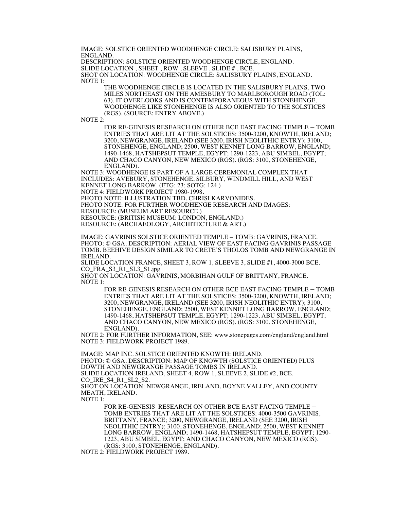IMAGE: SOLSTICE ORIENTED WOODHENGE CIRCLE: SALISBURY PLAINS, ENGLAND.

DESCRIPTION: SOLSTICE ORIENTED WOODHENGE CIRCLE, ENGLAND. SLIDE LOCATION , SHEET , ROW , SLEEVE , SLIDE # , BCE.

SHOT ON LOCATION: WOODHENGE CIRCLE: SALISBURY PLAINS, ENGLAND. NOTE 1:

> THE WOODHENGE CIRCLE IS LOCATED IN THE SALISBURY PLAINS, TWO MILES NORTHEAST ON THE AMESBURY TO MARLBOROUGH ROAD (TOL: 63). IT OVERLOOKS AND IS CONTEMPORANEOUS WITH STONEHENGE. WOODHENGE LIKE STONEHENGE IS ALSO ORIENTED TO THE SOLSTICES (RGS). (SOURCE: ENTRY ABOVE.)

NOTE  $2$ :

FOR RE-GENESIS RESEARCH ON OTHER BCE EAST FACING TEMPLE – TOMB ENTRIES THAT ARE LIT AT THE SOLSTICES: 3500-3200, KNOWTH, IRELAND; 3200, NEWGRANGE, IRELAND (SEE 3200, IRISH NEOLITHIC ENTRY); 3100, STONEHENGE, ENGLAND; 2500, WEST KENNET LONG BARROW, ENGLAND; 1490-1468, HATSHEPSUT TEMPLE, EGYPT; 1290-1223, ABU SIMBEL, EGYPT; AND CHACO CANYON, NEW MEXICO (RGS). (RGS: 3100, STONEHENGE, ENGLAND).

NOTE 3: WOODHENGE IS PART OF A LARGE CEREMONIAL COMPLEX THAT INCLUDES: AVEBURY, STONEHENGE, SILBURY, WINDMILL HILL, AND WEST KENNET LONG BARROW. (ETG: 23; SOTG: 124.)

NOTE 4: FIELDWORK PROJECT 1980-1998.

PHOTO NOTE: ILLUSTRATION TBD. CHRISI KARVONIDES.

PHOTO NOTE: FOR FURTHER WOODHENGE RESEARCH AND IMAGES:

RESOURCE: (MUSEUM ART RESOURCE.)

RESOURCE: (BRITISH MUSEUM: LONDON, ENGLAND.)

RESOURCE: (ARCHAEOLOGY, ARCHITECTURE & ART.)

IMAGE: GAVRINIS SOLSTICE ORIENTED TEMPLE – TOMB: GAVRINIS, FRANCE. PHOTO: © GSA. DESCRIPTION: AERIAL VIEW OF EAST FACING GAVRINIS PASSAGE TOMB. BEEHIVE DESIGN SIMILAR TO CRETE'S THOLOS TOMB AND NEWGRANGE IN IRELAND.

SLIDE LOCATION FRANCE, SHEET 3, ROW 1, SLEEVE 3, SLIDE #1, 4000-3000 BCE. CO\_FRA\_S3\_R1\_SL3\_S1.jpg

SHOT ON LOCATION: GAVRINIS, MORBIHAN GULF OF BRITTANY, FRANCE. NOTE 1:

> FOR RE-GENESIS RESEARCH ON OTHER BCE EAST FACING TEMPLE – TOMB ENTRIES THAT ARE LIT AT THE SOLSTICES: 3500-3200, KNOWTH, IRELAND; 3200, NEWGRANGE, IRELAND (SEE 3200, IRISH NEOLITHIC ENTRY); 3100, STONEHENGE, ENGLAND; 2500, WEST KENNET LONG BARROW, ENGLAND; 1490-1468, HATSHEPSUT TEMPLE, EGYPT; 1290-1223, ABU SIMBEL, EGYPT; AND CHACO CANYON, NEW MEXICO (RGS). (RGS: 3100, STONEHENGE, ENGLAND).

NOTE 2: FOR FURTHER INFORMATION, SEE: www.stonepages.com/england/england.html NOTE 3: FIELDWORK PROJECT 1989.

IMAGE: MAP INC. SOLSTICE ORIENTED KNOWTH: IRELAND. PHOTO: © GSA. DESCRIPTION: MAP OF KNOWTH (SOLSTICE ORIENTED) PLUS DOWTH AND NEWGRANGE PASSAGE TOMBS IN IRELAND. SLIDE LOCATION IRELAND, SHEET 4, ROW 1, SLEEVE 2, SLIDE #2, BCE. CO\_IRE\_S4\_R1\_SL2\_S2. SHOT ON LOCATION: NEWGRANGE, IRELAND, BOYNE VALLEY, AND COUNTY MEATH, IRELAND. NOTE 1:

FOR RE-GENESIS RESEARCH ON OTHER BCE EAST FACING TEMPLE – TOMB ENTRIES THAT ARE LIT AT THE SOLSTICES: 4000-3500 GAVRINIS, BRITTANY, FRANCE; 3200, NEWGRANGE, IRELAND (SEE 3200, IRISH NEOLITHIC ENTRY); 3100, STONEHENGE, ENGLAND; 2500, WEST KENNET LONG BARROW, ENGLAND; 1490-1468, HATSHEPSUT TEMPLE, EGYPT; 1290- 1223, ABU SIMBEL, EGYPT; AND CHACO CANYON, NEW MEXICO (RGS). (RGS: 3100, STONEHENGE, ENGLAND).

NOTE 2: FIELDWORK PROJECT 1989.